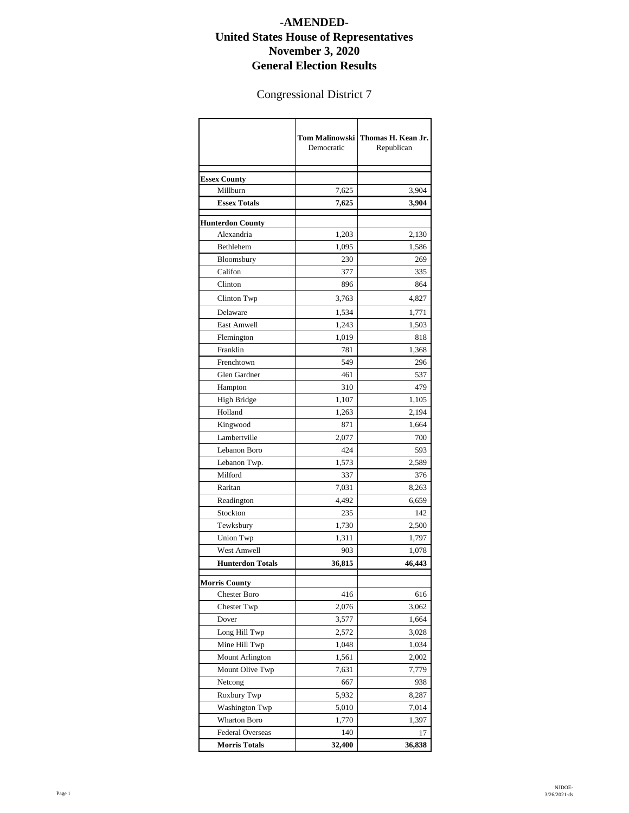## **-AMENDED-United States House of Representatives November 3, 2020 General Election Results**

## Congressional District 7

|                         | <b>Tom Malinowski</b><br>Democratic | Thomas H. Kean Jr.<br>Republican |
|-------------------------|-------------------------------------|----------------------------------|
| <b>Essex County</b>     |                                     |                                  |
| Millburn                | 7,625                               | 3,904                            |
| <b>Essex Totals</b>     | 7,625                               | 3,904                            |
| <b>Hunterdon County</b> |                                     |                                  |
| Alexandria              | 1,203                               | 2,130                            |
| Bethlehem               | 1,095                               | 1,586                            |
| Bloomsbury              | 230                                 | 269                              |
| Califon                 | 377                                 | 335                              |
| Clinton                 | 896                                 | 864                              |
| Clinton Twp             | 3,763                               | 4,827                            |
| Delaware                | 1,534                               | 1,771                            |
| East Amwell             | 1,243                               | 1,503                            |
| Flemington              | 1,019                               | 818                              |
| Franklin                | 781                                 | 1,368                            |
| Frenchtown              | 549                                 | 296                              |
| Glen Gardner            | 461                                 | 537                              |
| Hampton                 | 310                                 | 479                              |
| <b>High Bridge</b>      | 1,107                               | 1,105                            |
| Holland                 | 1,263                               | 2,194                            |
| Kingwood                | 871                                 | 1,664                            |
| Lambertville            | 2,077                               | 700                              |
| Lebanon Boro            | 424                                 | 593                              |
| Lebanon Twp.            | 1,573                               | 2,589                            |
| Milford                 | 337                                 | 376                              |
| Raritan                 | 7,031                               | 8,263                            |
| Readington              | 4,492                               | 6,659                            |
| Stockton                | 235                                 | 142                              |
| Tewksbury               | 1,730                               | 2,500                            |
| Union Twp               | 1,311                               | 1,797                            |
| West Amwell             | 903                                 | 1,078                            |
| <b>Hunterdon Totals</b> | 36,815                              | 46,443                           |
| <b>Morris County</b>    |                                     |                                  |
| <b>Chester Boro</b>     | 416                                 | 616                              |
| Chester Twp             | 2,076                               | 3,062                            |
| Dover                   | 3,577                               | 1,664                            |
| Long Hill Twp           | 2,572                               | 3,028                            |
| Mine Hill Twp           | 1,048                               | 1,034                            |
| Mount Arlington         | 1,561                               | 2,002                            |
| Mount Olive Twp         | 7,631                               | 7,779                            |
| Netcong                 | 667                                 | 938                              |
| Roxbury Twp             | 5,932                               | 8,287                            |
| <b>Washington Twp</b>   | 5,010                               | 7,014                            |
| Wharton Boro            | 1,770                               | 1,397                            |
| <b>Federal Overseas</b> | 140                                 | 17                               |
| <b>Morris Totals</b>    | 32,400                              | 36,838                           |